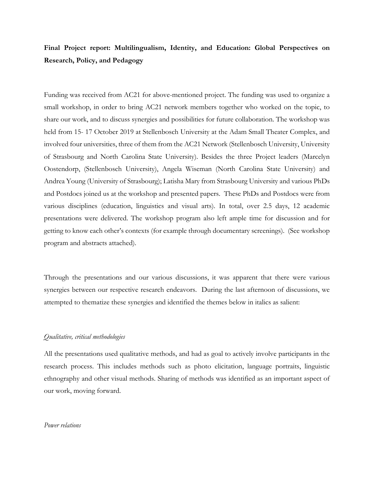## **Final Project report: Multilingualism, Identity, and Education: Global Perspectives on Research, Policy, and Pedagogy**

Funding was received from AC21 for above-mentioned project. The funding was used to organize a small workshop, in order to bring AC21 network members together who worked on the topic, to share our work, and to discuss synergies and possibilities for future collaboration. The workshop was held from 15- 17 October 2019 at Stellenbosch University at the Adam Small Theater Complex, and involved four universities, three of them from the AC21 Network (Stellenbosch University, University of Strasbourg and North Carolina State University). Besides the three Project leaders (Marcelyn Oostendorp, (Stellenbosch University), Angela Wiseman (North Carolina State University) and Andrea Young (University of Strasbourg); Latisha Mary from Strasbourg University and various PhDs and Postdocs joined us at the workshop and presented papers. These PhDs and Postdocs were from various disciplines (education, linguistics and visual arts). In total, over 2.5 days, 12 academic presentations were delivered. The workshop program also left ample time for discussion and for getting to know each other's contexts (for example through documentary screenings). (See workshop program and abstracts attached).

Through the presentations and our various discussions, it was apparent that there were various synergies between our respective research endeavors. During the last afternoon of discussions, we attempted to thematize these synergies and identified the themes below in italics as salient:

### *Qualitative, critical methodologies*

All the presentations used qualitative methods, and had as goal to actively involve participants in the research process. This includes methods such as photo elicitation, language portraits, linguistic ethnography and other visual methods. Sharing of methods was identified as an important aspect of our work, moving forward.

#### *Power relations*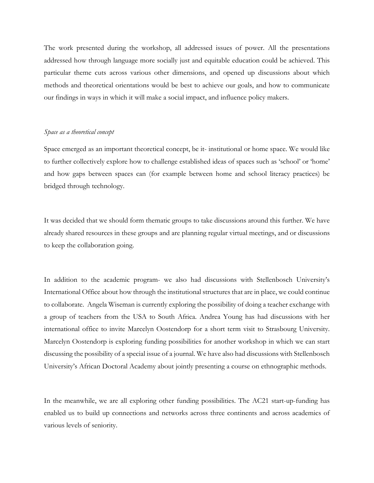The work presented during the workshop, all addressed issues of power. All the presentations addressed how through language more socially just and equitable education could be achieved. This particular theme cuts across various other dimensions, and opened up discussions about which methods and theoretical orientations would be best to achieve our goals, and how to communicate our findings in ways in which it will make a social impact, and influence policy makers.

#### *Space as a theoretical concept*

Space emerged as an important theoretical concept, be it- institutional or home space. We would like to further collectively explore how to challenge established ideas of spaces such as 'school' or 'home' and how gaps between spaces can (for example between home and school literacy practices) be bridged through technology.

It was decided that we should form thematic groups to take discussions around this further. We have already shared resources in these groups and are planning regular virtual meetings, and or discussions to keep the collaboration going.

In addition to the academic program- we also had discussions with Stellenbosch University's International Office about how through the institutional structures that are in place, we could continue to collaborate. Angela Wiseman is currently exploring the possibility of doing a teacher exchange with a group of teachers from the USA to South Africa. Andrea Young has had discussions with her international office to invite Marcelyn Oostendorp for a short term visit to Strasbourg University. Marcelyn Oostendorp is exploring funding possibilities for another workshop in which we can start discussing the possibility of a special issue of a journal. We have also had discussions with Stellenbosch University's African Doctoral Academy about jointly presenting a course on ethnographic methods.

In the meanwhile, we are all exploring other funding possibilities. The AC21 start-up-funding has enabled us to build up connections and networks across three continents and across academics of various levels of seniority.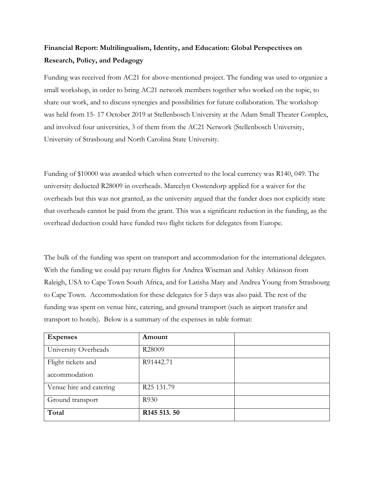# **Financial Report: Multilingualism, Identity, and Education: Global Perspectives on Research, Policy, and Pedagogy**

Funding was received from AC21 for above-mentioned project. The funding was used to organize a small workshop, in order to bring AC21 network members together who worked on the topic, to share our work, and to discuss synergies and possibilities for future collaboration. The workshop was held from 15- 17 October 2019 at Stellenbosch University at the Adam Small Theater Complex, and involved four universities, 3 of them from the AC21 Network (Stellenbosch University, University of Strasbourg and North Carolina State University.

Funding of \$10000 was awarded which when converted to the local currency was R140, 049. The university deducted R28009 in overheads. Marcelyn Oostendorp applied for a waiver for the overheads but this was not granted, as the university argued that the funder does not explicitly state that overheads cannot be paid from the grant. This was a significant reduction in the funding, as the overhead deduction could have funded two flight tickets for delegates from Europe.

The bulk of the funding was spent on transport and accommodation for the international delegates. With the funding we could pay return flights for Andrea Wiseman and Ashley Atkinson from Raleigh, USA to Cape Town South Africa, and for Latisha Mary and Andrea Young from Strasbourg to Cape Town. Accommodation for these delegates for 5 days was also paid. The rest of the funding was spent on venue hire, catering, and ground transport (such as airport transfer and transport to hotels). Below is a summary of the expenses in table format:

| <b>Expenses</b>         | Amount                               |  |
|-------------------------|--------------------------------------|--|
| University Overheads    | R28009                               |  |
| Flight tickets and      | R91442.71                            |  |
| accommodation           |                                      |  |
| Venue hire and catering | R <sub>25</sub> 131.79               |  |
| Ground transport        | R930                                 |  |
| Total                   | R <sub>145</sub> 5 <sub>13</sub> .50 |  |